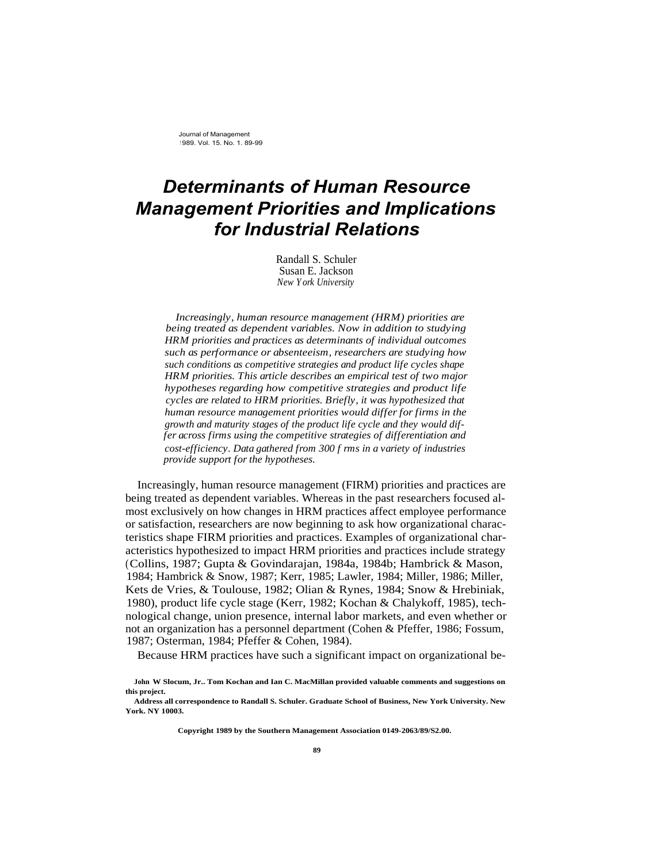Journal of Management <sup>1</sup> 989. Vol. 15. No. 1. 89-99

# *Determinants of Human Resource Management Priorities and Implications for Industrial Relations*

Randall S. Schuler Susan E. Jackson *New York University*

*Increasingly, human resource management (HRM) priorities are being treated as dependent variables. Now in addition to studying HRM priorities and practices as determinants of individual outcomes such as performance or absenteeism, researchers are studying how such conditions as competitive strategies and product life cycles shape HRM priorities. This article describes an empirical test of two major hypotheses regarding how competitive strategies and product life cycles are related to HRM priorities. Briefly, it was hypothesized that human resource management priorities would differ for firms in the growth and maturity stages of the product life cycle and they would differ across firms using the competitive strategies of differentiation and cost-efficiency. Data gathered from 300 f rms in a variety of industries provide support for the hypotheses.*

Increasingly, human resource management (FIRM) priorities and practices are being treated as dependent variables. Whereas in the past researchers focused almost exclusively on how changes in HRM practices affect employee performance or satisfaction, researchers are now beginning to ask how organizational characteristics shape FIRM priorities and practices. Examples of organizational characteristics hypothesized to impact HRM priorities and practices include strategy (Collins, 1987; Gupta & Govindarajan, 1984a, 1984b; Hambrick & Mason, 1984; Hambrick & Snow, 1987; Kerr, 1985; Lawler, 1984; Miller, 1986; Miller, Kets de Vries, & Toulouse, 1982; Olian & Rynes, 1984; Snow & Hrebiniak, 1980), product life cycle stage (Kerr, 1982; Kochan & Chalykoff, 1985), technological change, union presence, internal labor markets, and even whether or not an organization has a personnel department (Cohen & Pfeffer, 1986; Fossum, 1987; Osterman, 1984; Pfeffer & Cohen, 1984).

Because HRM practices have such a significant impact on organizational be-

**Copyright 1989 by the Southern Management Association 0149-2063/89/S2.00.**

**John W Slocum, Jr.. Tom Kochan and Ian C. MacMillan provided valuable comments and suggestions on this project.**

**Address all correspondence to Randall S. Schuler. Graduate School of Business, New York University. New York. NY 10003.**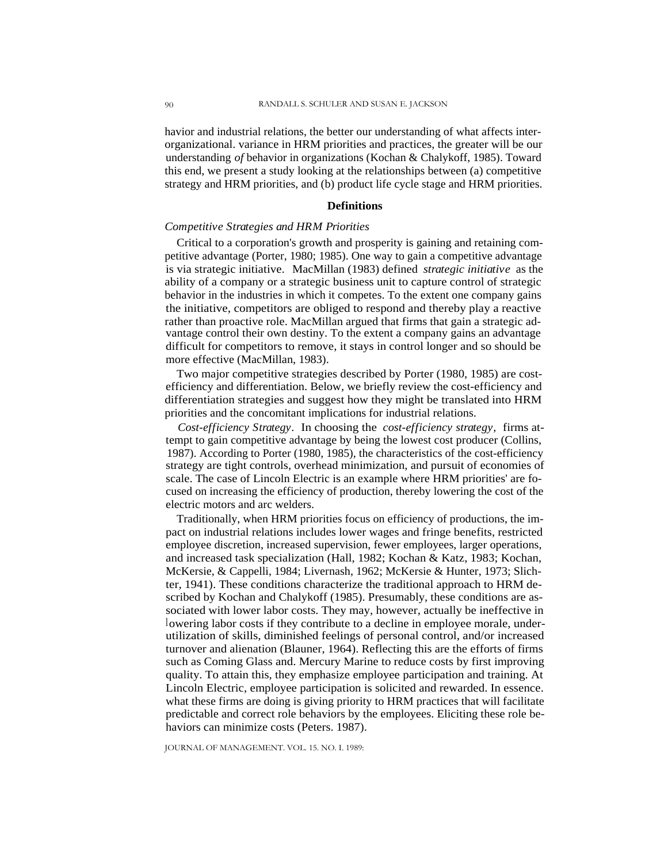havior and industrial relations, the better our understanding of what affects interorganizational. variance in HRM priorities and practices, the greater will be our understanding *of* behavior in organizations (Kochan & Chalykoff, 1985). Toward this end, we present a study looking at the relationships between (a) competitive strategy and HRM priorities, and (b) product life cycle stage and HRM priorities.

## **Definitions**

# *Competitive Strategies and HRM Priorities*

Critical to a corporation's growth and prosperity is gaining and retaining competitive advantage (Porter, 1980; 1985). One way to gain a competitive advantage is via strategic initiative. MacMillan (1983) defined *strategic initiative* as the ability of a company or a strategic business unit to capture control of strategic behavior in the industries in which it competes. To the extent one company gains the initiative, competitors are obliged to respond and thereby play a reactive rather than proactive role. MacMillan argued that firms that gain a strategic advantage control their own destiny. To the extent a company gains an advantage difficult for competitors to remove, it stays in control longer and so should be more effective (MacMillan, 1983).

Two major competitive strategies described by Porter (1980, 1985) are costefficiency and differentiation. Below, we briefly review the cost-efficiency and differentiation strategies and suggest how they might be translated into HRM priorities and the concomitant implications for industrial relations.

*Cost-efficiency Strategy.* In choosing the *cost-efficiency strategy,* firms attempt to gain competitive advantage by being the lowest cost producer (Collins, 1987). According to Porter (1980, 1985), the characteristics of the cost-efficiency strategy are tight controls, overhead minimization, and pursuit of economies of scale. The case of Lincoln Electric is an example where HRM priorities' are focused on increasing the efficiency of production, thereby lowering the cost of the electric motors and arc welders.

Traditionally, when HRM priorities focus on efficiency of productions, the impact on industrial relations includes lower wages and fringe benefits, restricted employee discretion, increased supervision, fewer employees, larger operations, and increased task specialization (Hall, 1982; Kochan & Katz, 1983; Kochan, McKersie, & Cappelli, 1984; Livernash, 1962; McKersie & Hunter, 1973; Slichter, 1941). These conditions characterize the traditional approach to HRM described by Kochan and Chalykoff (1985). Presumably, these conditions are associated with lower labor costs. They may, however, actually be ineffective in lowering labor costs if they contribute to a decline in employee morale, underutilization of skills, diminished feelings of personal control, and/or increased turnover and alienation (Blauner, 1964). Reflecting this are the efforts of firms such as Coming Glass and. Mercury Marine to reduce costs by first improving quality. To attain this, they emphasize employee participation and training. At Lincoln Electric, employee participation is solicited and rewarded. In essence. what these firms are doing is giving priority to HRM practices that will facilitate predictable and correct role behaviors by the employees. Eliciting these role behaviors can minimize costs (Peters. 1987).

JOURNAL OF MANAGEMENT. VOL. 15. NO. I. 1989: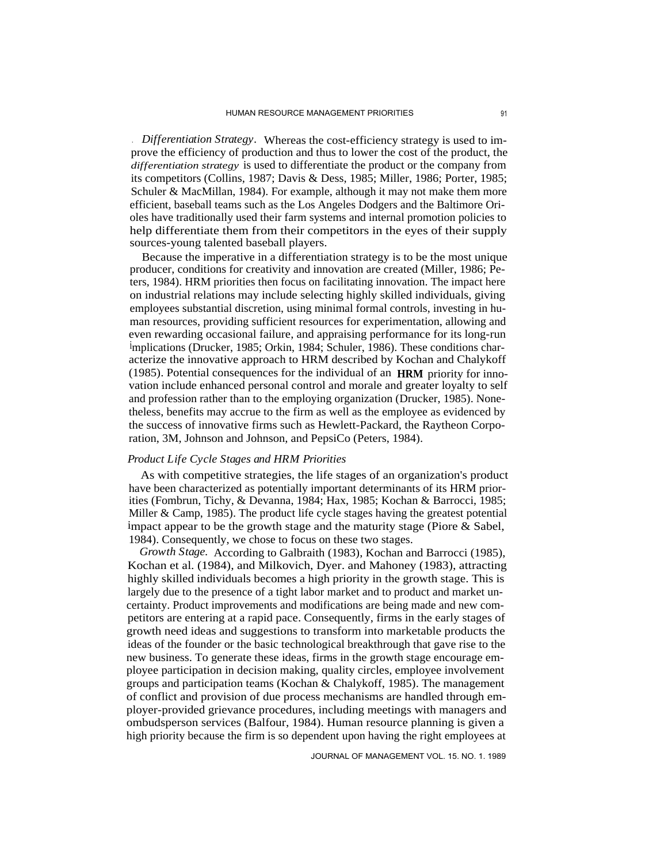. *Differentiation Strategy.* Whereas the cost-efficiency strategy is used to improve the efficiency of production and thus to lower the cost of the product, the *differentiation strategy* is used to differentiate the product or the company from its competitors (Collins, 1987; Davis & Dess, 1985; Miller, 1986; Porter, 1985; Schuler & MacMillan, 1984). For example, although it may not make them more efficient, baseball teams such as the Los Angeles Dodgers and the Baltimore Orioles have traditionally used their farm systems and internal promotion policies to help differentiate them from their competitors in the eyes of their supply sources-young talented baseball players.

Because the imperative in a differentiation strategy is to be the most unique producer, conditions for creativity and innovation are created (Miller, 1986; Peters, 1984). HRM priorities then focus on facilitating innovation. The impact here on industrial relations may include selecting highly skilled individuals, giving employees substantial discretion, using minimal formal controls, investing in human resources, providing sufficient resources for experimentation, allowing and even rewarding occasional failure, and appraising performance for its long-run implications (Drucker, 1985; Orkin, 1984; Schuler, 1986). These conditions characterize the innovative approach to HRM described by Kochan and Chalykoff (1985). Potential consequences for the individual of an **HRM** priority for innovation include enhanced personal control and morale and greater loyalty to self and profession rather than to the employing organization (Drucker, 1985). Nonetheless, benefits may accrue to the firm as well as the employee as evidenced by the success of innovative firms such as Hewlett-Packard, the Raytheon Corporation, 3M, Johnson and Johnson, and PepsiCo (Peters, 1984).

# *Product Life Cycle Stages and HRM Priorities*

As with competitive strategies, the life stages of an organization's product have been characterized as potentially important determinants of its HRM priorities (Fombrun, Tichy, & Devanna, 1984; Hax, 1985; Kochan & Barrocci, 1985; Miller & Camp, 1985). The product life cycle stages having the greatest potential impact appear to be the growth stage and the maturity stage (Piore & Sabel, 1984). Consequently, we chose to focus on these two stages.

*Growth Stage.* According to Galbraith (1983), Kochan and Barrocci (1985), Kochan et al. (1984), and Milkovich, Dyer. and Mahoney (1983), attracting highly skilled individuals becomes a high priority in the growth stage. This is largely due to the presence of a tight labor market and to product and market uncertainty. Product improvements and modifications are being made and new competitors are entering at a rapid pace. Consequently, firms in the early stages of growth need ideas and suggestions to transform into marketable products the ideas of the founder or the basic technological breakthrough that gave rise to the new business. To generate these ideas, firms in the growth stage encourage employee participation in decision making, quality circles, employee involvement groups and participation teams (Kochan & Chalykoff, 1985). The management of conflict and provision of due process mechanisms are handled through employer-provided grievance procedures, including meetings with managers and ombudsperson services (Balfour, 1984). Human resource planning is given a high priority because the firm is so dependent upon having the right employees at

JOURNAL OF MANAGEMENT VOL. 15. NO. 1. 1989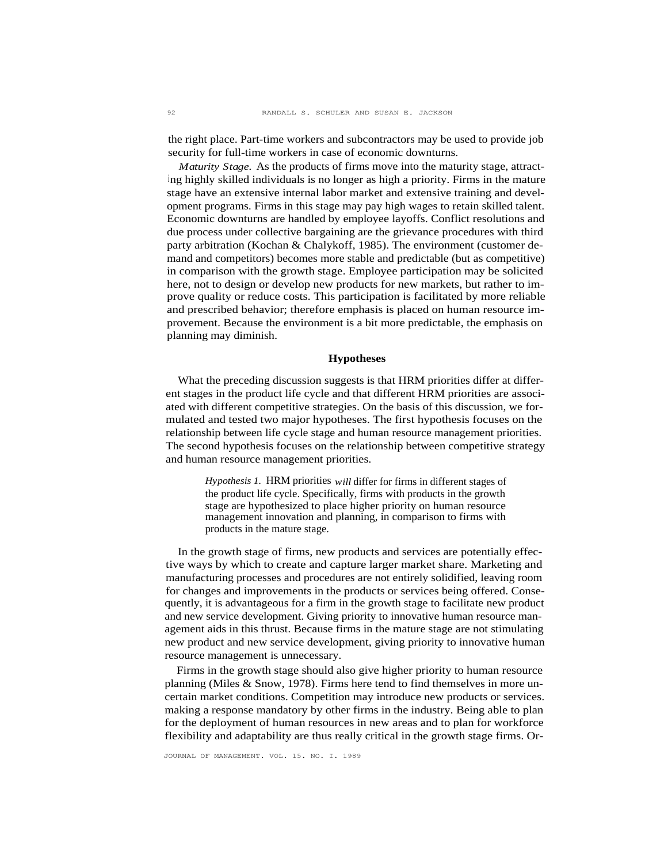the right place. Part-time workers and subcontractors may be used to provide job security for full-time workers in case of economic downturns.

*Maturity Stage.* As the products of firms move into the maturity stage, attract<sup>i</sup> ng highly skilled individuals is no longer as high a priority. Firms in the mature stage have an extensive internal labor market and extensive training and development programs. Firms in this stage may pay high wages to retain skilled talent. Economic downturns are handled by employee layoffs. Conflict resolutions and due process under collective bargaining are the grievance procedures with third party arbitration (Kochan & Chalykoff, 1985). The environment (customer demand and competitors) becomes more stable and predictable (but as competitive) in comparison with the growth stage. Employee participation may be solicited here, not to design or develop new products for new markets, but rather to improve quality or reduce costs. This participation is facilitated by more reliable and prescribed behavior; therefore emphasis is placed on human resource improvement. Because the environment is a bit more predictable, the emphasis on planning may diminish.

## **Hypotheses**

What the preceding discussion suggests is that HRM priorities differ at different stages in the product life cycle and that different HRM priorities are associated with different competitive strategies. On the basis of this discussion, we formulated and tested two major hypotheses. The first hypothesis focuses on the relationship between life cycle stage and human resource management priorities. The second hypothesis focuses on the relationship between competitive strategy and human resource management priorities.

> *Hypothesis 1.* HRM priorities *will* differ for firms in different stages of the product life cycle. Specifically, firms with products in the growth stage are hypothesized to place higher priority on human resource management innovation and planning, in comparison to firms with products in the mature stage.

In the growth stage of firms, new products and services are potentially effective ways by which to create and capture larger market share. Marketing and manufacturing processes and procedures are not entirely solidified, leaving room for changes and improvements in the products or services being offered. Consequently, it is advantageous for a firm in the growth stage to facilitate new product and new service development. Giving priority to innovative human resource management aids in this thrust. Because firms in the mature stage are not stimulating new product and new service development, giving priority to innovative human resource management is unnecessary.

Firms in the growth stage should also give higher priority to human resource planning (Miles & Snow, 1978). Firms here tend to find themselves in more uncertain market conditions. Competition may introduce new products or services. making a response mandatory by other firms in the industry. Being able to plan for the deployment of human resources in new areas and to plan for workforce flexibility and adaptability are thus really critical in the growth stage firms. Or-

JOURNAL OF MANAGEMENT. VOL. 15. NO. I. 1989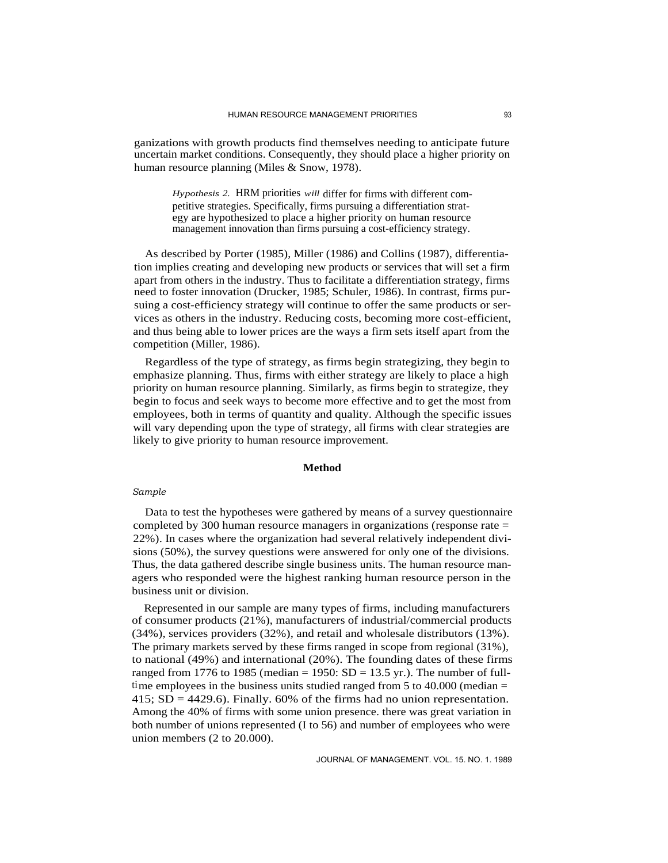ganizations with growth products find themselves needing to anticipate future uncertain market conditions. Consequently, they should place a higher priority on human resource planning (Miles & Snow, 1978).

*Hypothesis 2.* HRM priorities *will* differ for firms with different competitive strategies. Specifically, firms pursuing a differentiation strategy are hypothesized to place a higher priority on human resource management innovation than firms pursuing a cost-efficiency strategy.

As described by Porter (1985), Miller (1986) and Collins (1987), differentiation implies creating and developing new products or services that will set a firm apart from others in the industry. Thus to facilitate a differentiation strategy, firms need to foster innovation (Drucker, 1985; Schuler, 1986). In contrast, firms pursuing a cost-efficiency strategy will continue to offer the same products or services as others in the industry. Reducing costs, becoming more cost-efficient, and thus being able to lower prices are the ways a firm sets itself apart from the competition (Miller, 1986).

Regardless of the type of strategy, as firms begin strategizing, they begin to emphasize planning. Thus, firms with either strategy are likely to place a high priority on human resource planning. Similarly, as firms begin to strategize, they begin to focus and seek ways to become more effective and to get the most from employees, both in terms of quantity and quality. Although the specific issues will vary depending upon the type of strategy, all firms with clear strategies are likely to give priority to human resource improvement.

### **Method**

### *Sample*

Data to test the hypotheses were gathered by means of a survey questionnaire completed by 300 human resource managers in organizations (response rate = 22%). In cases where the organization had several relatively independent divisions (50%), the survey questions were answered for only one of the divisions. Thus, the data gathered describe single business units. The human resource managers who responded were the highest ranking human resource person in the business unit or division.

Represented in our sample are many types of firms, including manufacturers of consumer products (21%), manufacturers of industrial/commercial products (34%), services providers (32%), and retail and wholesale distributors (13%). The primary markets served by these firms ranged in scope from regional (31%), to national (49%) and international (20%). The founding dates of these firms ranged from 1776 to 1985 (median = 1950:  $SD = 13.5$  yr.). The number of fulltime employees in the business units studied ranged from 5 to 40.000 (median  $=$ 415;  $SD = 4429.6$ . Finally. 60% of the firms had no union representation. Among the 40% of firms with some union presence. there was great variation in both number of unions represented (I to 56) and number of employees who were union members (2 to 20.000).

JOURNAL OF MANAGEMENT. VOL. 15. NO. 1. 1989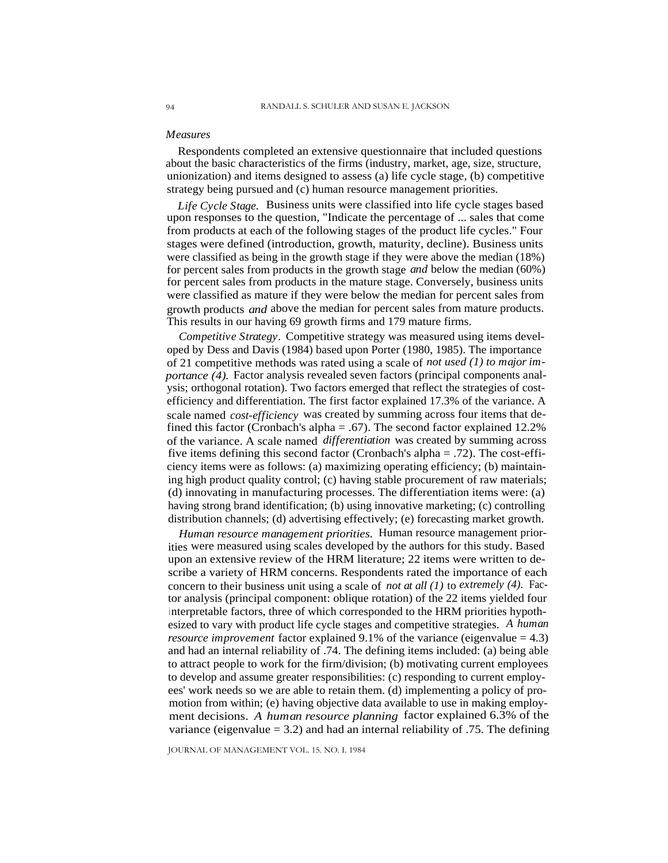#### *Measures*

Respondents completed an extensive questionnaire that included questions about the basic characteristics of the firms (industry, market, age, size, structure, unionization) and items designed to assess (a) life cycle stage, (b) competitive strategy being pursued and (c) human resource management priorities.

*Life Cycle Stage.* Business units were classified into life cycle stages based upon responses to the question, "Indicate the percentage of ... sales that come from products at each of the following stages of the product life cycles." Four stages were defined (introduction, growth, maturity, decline). Business units were classified as being in the growth stage if they were above the median (18%) for percent sales from products in the growth stage *and* below the median (60%) for percent sales from products in the mature stage. Conversely, business units were classified as mature if they were below the median for percent sales from growth products *and* above the median for percent sales from mature products. This results in our having 69 growth firms and 179 mature firms.

*Competitive Strategy.* Competitive strategy was measured using items developed by Dess and Davis (1984) based upon Porter (1980, 1985). The importance of 21 competitive methods was rated using a scale of *not used (1) to major importance* (4). Factor analysis revealed seven factors (principal components analysis; orthogonal rotation). Two factors emerged that reflect the strategies of costefficiency and differentiation. The first factor explained 17.3% of the variance. A scale named *cost-efficiency* was created by summing across four items that defined this factor (Cronbach's alpha = .67). The second factor explained 12.2% of the variance. A scale named *differentiation* was created by summing across five items defining this second factor (Cronbach's alpha = .72). The cost-efficiency items were as follows: (a) maximizing operating efficiency; (b) maintaining high product quality control; (c) having stable procurement of raw materials; (d) innovating in manufacturing processes. The differentiation items were: (a) having strong brand identification; (b) using innovative marketing; (c) controlling distribution channels; (d) advertising effectively; (e) forecasting market growth.

*Human resource management priorities.* Human resource management priorities were measured using scales developed by the authors for this study. Based upon an extensive review of the HRM literature; 22 items were written to describe a variety of HRM concerns. Respondents rated the importance of each concern to their business unit using a scale of *not at all (1)* to *extremely (4).* Factor analysis (principal component: oblique rotation) of the 22 items yielded four interpretable factors, three of which corresponded to the HRM priorities hypothesized to vary with product life cycle stages and competitive strategies. *A human resource improvement* factor explained 9.1% of the variance (eigenvalue = 4.3) and had an internal reliability of .74. The defining items included: (a) being able to attract people to work for the firm/division; (b) motivating current employees to develop and assume greater responsibilities: (c) responding to current employees' work needs so we are able to retain them. (d) implementing a policy of promotion from within; (e) having objective data available to use in making employment decisions. *A human resource planning* factor explained 6.3% of the variance (eigenvalue  $= 3.2$ ) and had an internal reliability of .75. The defining

JOURNAL OF MANAGEMENT VOL. 15. NO. I. 1984

94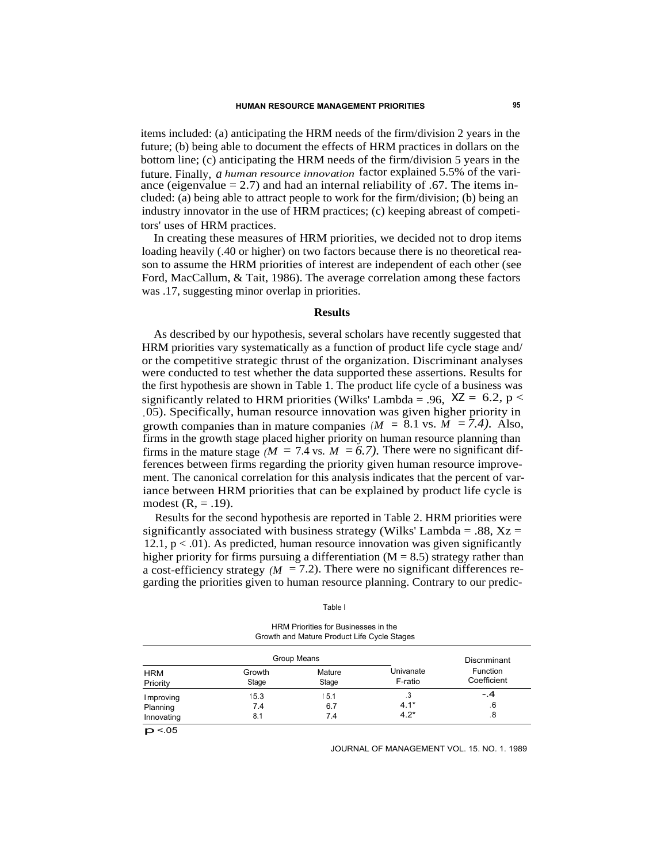items included: (a) anticipating the HRM needs of the firm/division 2 years in the future; (b) being able to document the effects of HRM practices in dollars on the bottom line; (c) anticipating the HRM needs of the firm/division 5 years in the future. Finally, *a human resource innovation* factor explained 5.5% of the variance (eigenvalue  $= 2.7$ ) and had an internal reliability of .67. The items included: (a) being able to attract people to work for the firm/division; (b) being an industry innovator in the use of HRM practices; (c) keeping abreast of competitors' uses of HRM practices.

In creating these measures of HRM priorities, we decided not to drop items loading heavily (.40 or higher) on two factors because there is no theoretical reason to assume the HRM priorities of interest are independent of each other (see Ford, MacCallum, & Tait, 1986). The average correlation among these factors was .17, suggesting minor overlap in priorities.

## **Results**

As described by our hypothesis, several scholars have recently suggested that HRM priorities vary systematically as a function of product life cycle stage and/ or the competitive strategic thrust of the organization. Discriminant analyses were conducted to test whether the data supported these assertions. Results for the first hypothesis are shown in Table 1. The product life cycle of a business was significantly related to HRM priorities (Wilks' Lambda = .96,  $XZ = 6.2$ , p < .05). Specifically, human resource innovation was given higher priority in growth companies than in mature companies  $(M = 8.1 \text{ vs. } \overline{M} = 7.4)$ . Also, firms in the growth stage placed higher priority on human resource planning than firms in the mature stage  $/M = 7.4$  vs.  $M = 6.7$ ). There were no significant differences between firms regarding the priority given human resource improvement. The canonical correlation for this analysis indicates that the percent of variance between HRM priorities that can be explained by product life cycle is modest  $(R = .19)$ .

Results for the second hypothesis are reported in Table 2. HRM priorities were significantly associated with business strategy (Wilks' Lambda = .88,  $Xz =$ 12.1,  $p < .01$ ). As predicted, human resource innovation was given significantly higher priority for firms pursuing a differentiation  $(M = 8.5)$  strategy rather than a cost-efficiency strategy  $(M = 7.2)$ . There were no significant differences regarding the priorities given to human resource planning. Contrary to our predic-

| ۰, |  |
|----|--|

HRM Priorities for Businesses in the Growth and Mature Product Life Cycle Stages

|                        | Group Means     |                 |                      | Discnminant             |
|------------------------|-----------------|-----------------|----------------------|-------------------------|
| <b>HRM</b><br>Priority | Growth<br>Stage | Mature<br>Stage | Univanate<br>F-ratio | Function<br>Coefficient |
| Improving              | 15.3            | 5.1             | .3                   | $-.4$                   |
| Planning               | 7.4             | 6.7             | $4.1*$               | . 6                     |
| Innovating             | 8.1             | 7.4             | $4.2*$               | .8                      |

 $p$  <.05

JOURNAL OF MANAGEMENT VOL. 15. NO. 1. 1989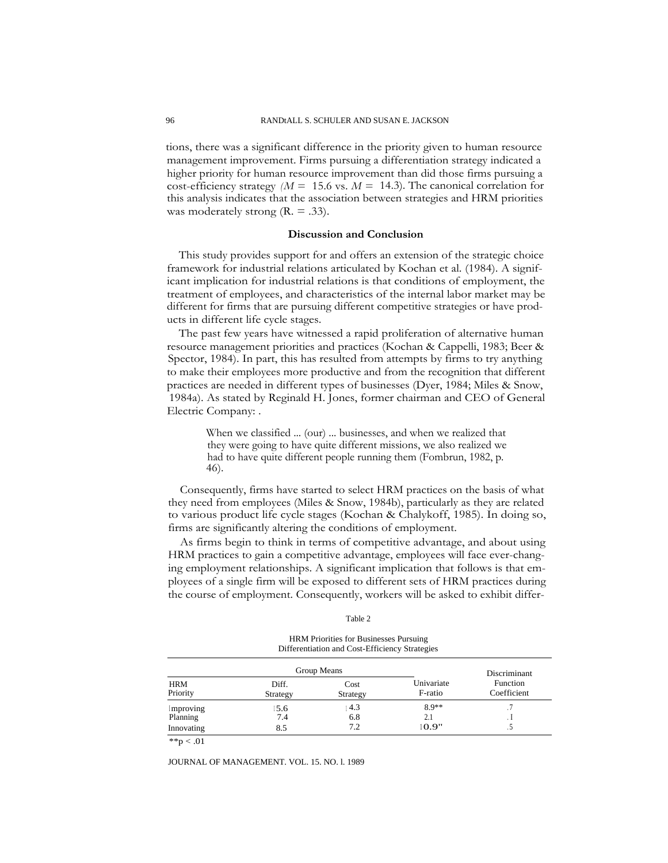tions, there was a significant difference in the priority given to human resource management improvement. Firms pursuing a differentiation strategy indicated a higher priority for human resource improvement than did those firms pursuing a cost-efficiency strategy  $/M = 15.6$  vs.  $M = 14.3$ ). The canonical correlation for this analysis indicates that the association between strategies and HRM priorities was moderately strong  $(R = .33)$ .

#### **Discussion and Conclusion**

This study provides support for and offers an extension of the strategic choice framework for industrial relations articulated by Kochan et al. (1984). A significant implication for industrial relations is that conditions of employment, the treatment of employees, and characteristics of the internal labor market may be different for firms that are pursuing different competitive strategies or have products in different life cycle stages.

The past few years have witnessed a rapid proliferation of alternative human resource management priorities and practices (Kochan & Cappelli, 1983; Beer & Spector, 1984). In part, this has resulted from attempts by firms to try anything to make their employees more productive and from the recognition that different practices are needed in different types of businesses (Dyer, 1984; Miles & Snow, 1984a). As stated by Reginald H. Jones, former chairman and CEO of General Electric Company: .

> When we classified ... (our) ... businesses, and when we realized that they were going to have quite different missions, we also realized we had to have quite different people running them (Fombrun, 1982, p. 46).

Consequently, firms have started to select HRM practices on the basis of what they need from employees (Miles & Snow, 1984b), particularly as they are related to various product life cycle stages (Kochan & Chalykoff, 1985). In doing so, firms are significantly altering the conditions of employment.

As firms begin to think in terms of competitive advantage, and about using HRM practices to gain a competitive advantage, employees will face ever-changing employment relationships. A significant implication that follows is that employees of a single firm will be exposed to different sets of HRM practices during the course of employment. Consequently, workers will be asked to exhibit differ-

Table 2

HRM Priorities for Businesses Pursuing Differentiation and Cost-Efficiency Strategies

| Group Means       |                  |                       | Discriminant            |
|-------------------|------------------|-----------------------|-------------------------|
| Diff.<br>Strategy | Cost<br>Strategy | Univariate<br>F-ratio | Function<br>Coefficient |
| 5.6               | 4.3              | $8.9**$               |                         |
| 7.4               | 6.8              | 2.1                   |                         |
| 8.5               | 7.2              | 10.9"                 |                         |
|                   |                  |                       |                         |

\*\*p  $< .01$ 

JOURNAL OF MANAGEMENT. VOL. 15. NO. l. 1989